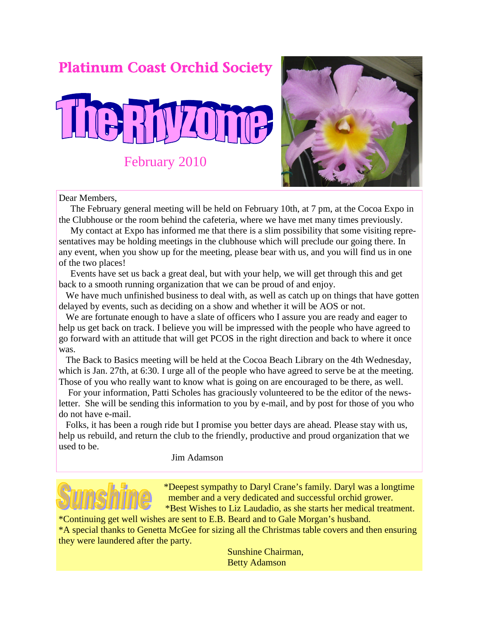## Platinum Coast Orchid Society





Dear Members,

The February general meeting will be held on February 10th, at 7 pm, at the Cocoa Expo in the Clubhouse or the room behind the cafeteria, where we have met many times previously.

My contact at Expo has informed me that there is a slim possibility that some visiting representatives may be holding meetings in the clubhouse which will preclude our going there. In any event, when you show up for the meeting, please bear with us, and you will find us in one of the two places!

Events have set us back a great deal, but with your help, we will get through this and get back to a smooth running organization that we can be proud of and enjoy.

We have much unfinished business to deal with, as well as catch up on things that have gotten delayed by events, such as deciding on a show and whether it will be AOS or not.

We are fortunate enough to have a slate of officers who I assure you are ready and eager to help us get back on track. I believe you will be impressed with the people who have agreed to go forward with an attitude that will get PCOS in the right direction and back to where it once was.

The Back to Basics meeting will be held at the Cocoa Beach Library on the 4th Wednesday, which is Jan. 27th, at 6:30. I urge all of the people who have agreed to serve be at the meeting. Those of you who really want to know what is going on are encouraged to be there, as well.

For your information, Patti Scholes has graciously volunteered to be the editor of the newsletter. She will be sending this information to you by e-mail, and by post for those of you who do not have e-mail.

Folks, it has been a rough ride but I promise you better days are ahead. Please stay with us, help us rebuild, and return the club to the friendly, productive and proud organization that we used to be.

Jim Adamson



\*Deepest sympathy to Daryl Crane's family. Daryl was a longtime member and a very dedicated and successful orchid grower. \*Best Wishes to Liz Laudadio, as she starts her medical treatment.

\*Continuing get well wishes are sent to E.B. Beard and to Gale Morgan's husband. \*A special thanks to Genetta McGee for sizing all the Christmas table covers and then ensuring they were laundered after the party.

> Sunshine Chairman, Betty Adamson